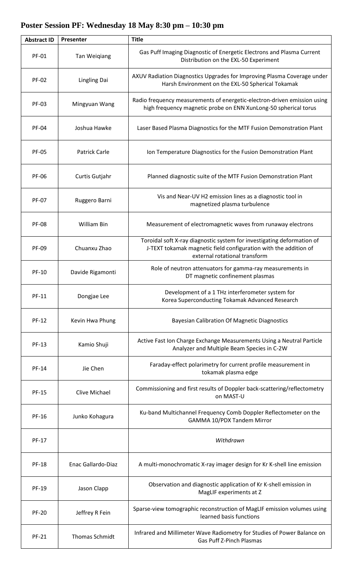## **Abstract ID Presenter Title** PF-01 Tan Weigiang Gas Puff Imaging Diagnostic of Energetic Electrons and Plasma Current Distribution on the EXL-50 Experiment PF-02 Lingling Dai AXUV Radiation Diagnostics Upgrades for Improving Plasma Coverage under Harsh Environment on the EXL-50 Spherical Tokamak PF-03 Mingyuan Wang Radio frequency measurements of energetic-electron-driven emission using high frequency magnetic probe on ENN XunLong-50 spherical torus PF-04 | Joshua Hawke | Laser Based Plasma Diagnostics for the MTF Fusion Demonstration Plant PF-05 | Patrick Carle | Ion Temperature Diagnostics for the Fusion Demonstration Plant PF-06 | Curtis Gutjahr | Planned diagnostic suite of the MTF Fusion Demonstration Plant PF-07 Ruggero Barni Vis and Near-UV H2 emission lines as a diagnostic tool in magnetized plasma turbulence PF-08 William Bin Measurement of electromagnetic waves from runaway electrons PF-09 Chuanxu Zhao Toroidal soft X-ray diagnostic system for investigating deformation of J-TEXT tokamak magnetic field configuration with the addition of external rotational transform PF-10 Davide Rigamonti Role of neutron attenuators for gamma-ray measurements in DT magnetic confinement plasmas PF-11 Dongjae Lee Dongjae Development of a 1 THz interferometer system for<br>Cases Superconducting Telemak Advanced Bessere Korea Superconducting Tokamak Advanced Research PF-12 | Kevin Hwa Phung | Bayesian Calibration Of Magnetic Diagnostics **PF-13** Kamio Shuji Active Fast Ion Charge Exchange Measurements Using a Neutral Particle Analyzer and Multiple Beam Species in C-2W PF-14 Jie Chen Faraday-effect polarimetry for current profile measurement in tokamak plasma edge PF-15 Clive Michael Commissioning and first results of Doppler back-scattering/reflectometry on MAST-U PF-16 Junko Kohagura | Ku-band Multichannel Frequency Comb Doppler Reflectometer on the GAMMA 10/PDX Tandem Mirror PF-17 *Withdrawn* PF-18 | Enac Gallardo-Diaz | A multi-monochromatic X-ray imager design for Kr K-shell line emission PF-19 Jason Clapp Diservation and diagnostic application of Kr K-shell emission in MagLIF experiments at Z PF-20 Jeffrey R Fein Sparse-view tomographic reconstruction of MagLIF emission volumes using learned basis functions PF-21 Thomas Schmidt | Infrared and Millimeter Wave Radiometry for Studies of Power Balance on Gas Puff Z-Pinch Plasmas

## **Poster Session PF: Wednesday 18 May 8:30 pm – 10:30 pm**